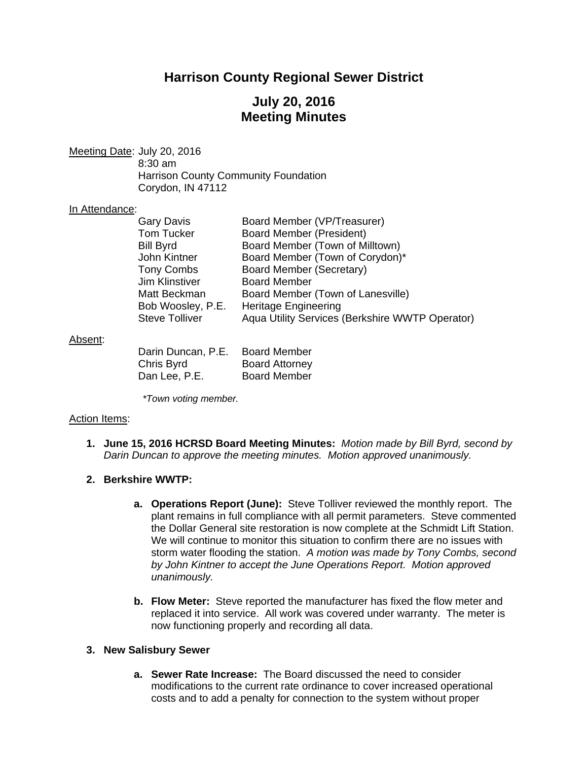# **Harrison County Regional Sewer District**

# **July 20, 2016 Meeting Minutes**

Meeting Date: July 20, 2016 8:30 am Harrison County Community Foundation Corydon, IN 47112

#### In Attendance:

| <b>Gary Davis</b>     | Board Member (VP/Treasurer)                     |
|-----------------------|-------------------------------------------------|
| Tom Tucker            | <b>Board Member (President)</b>                 |
| <b>Bill Byrd</b>      | Board Member (Town of Milltown)                 |
| John Kintner          | Board Member (Town of Corydon)*                 |
| <b>Tony Combs</b>     | Board Member (Secretary)                        |
| Jim Klinstiver        | <b>Board Member</b>                             |
| Matt Beckman          | Board Member (Town of Lanesville)               |
| Bob Woosley, P.E.     | <b>Heritage Engineering</b>                     |
| <b>Steve Tolliver</b> | Aqua Utility Services (Berkshire WWTP Operator) |

#### Absent:

| Darin Duncan, P.E. | <b>Board Member</b>   |
|--------------------|-----------------------|
| Chris Byrd         | <b>Board Attorney</b> |
| Dan Lee, P.E.      | <b>Board Member</b>   |

*\*Town voting member.* 

### Action Items:

**1. June 15, 2016 HCRSD Board Meeting Minutes:** *Motion made by Bill Byrd, second by Darin Duncan to approve the meeting minutes. Motion approved unanimously.*

### **2. Berkshire WWTP:**

- **a. Operations Report (June):** Steve Tolliver reviewed the monthly report. The plant remains in full compliance with all permit parameters. Steve commented the Dollar General site restoration is now complete at the Schmidt Lift Station. We will continue to monitor this situation to confirm there are no issues with storm water flooding the station. *A motion was made by Tony Combs, second by John Kintner to accept the June Operations Report. Motion approved unanimously.*
- **b. Flow Meter:** Steve reported the manufacturer has fixed the flow meter and replaced it into service. All work was covered under warranty. The meter is now functioning properly and recording all data.

### **3. New Salisbury Sewer**

**a. Sewer Rate Increase:** The Board discussed the need to consider modifications to the current rate ordinance to cover increased operational costs and to add a penalty for connection to the system without proper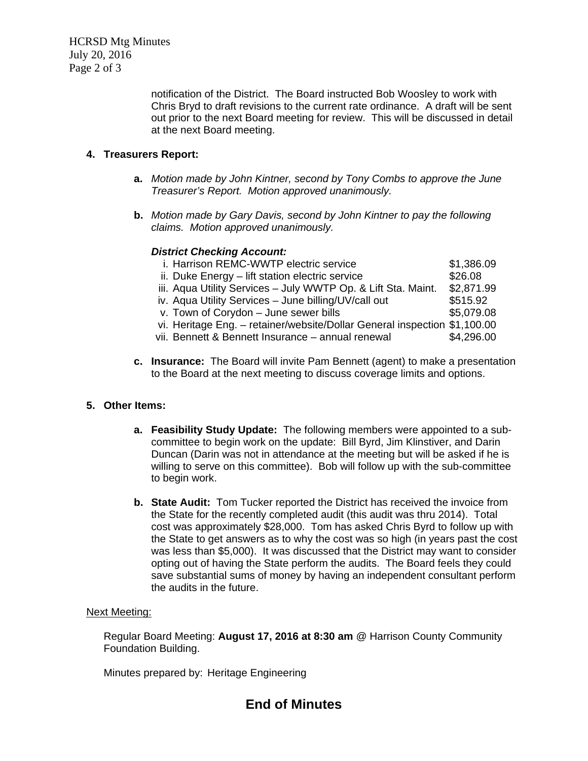HCRSD Mtg Minutes July 20, 2016 Page 2 of 3

> notification of the District. The Board instructed Bob Woosley to work with Chris Bryd to draft revisions to the current rate ordinance. A draft will be sent out prior to the next Board meeting for review. This will be discussed in detail at the next Board meeting.

## **4. Treasurers Report:**

- **a.** *Motion made by John Kintner, second by Tony Combs to approve the June Treasurer's Report. Motion approved unanimously.*
- **b.** *Motion made by Gary Davis, second by John Kintner to pay the following claims. Motion approved unanimously.*

### *District Checking Account:*

| \$1,386.09<br>i. Harrison REMC-WWTP electric service                      |            |
|---------------------------------------------------------------------------|------------|
| ii. Duke Energy - lift station electric service                           | \$26.08    |
| iii. Aqua Utility Services - July WWTP Op. & Lift Sta. Maint.             | \$2,871.99 |
| iv. Aqua Utility Services - June billing/UV/call out                      | \$515.92   |
| v. Town of Corydon - June sewer bills                                     | \$5,079.08 |
| vi. Heritage Eng. - retainer/website/Dollar General inspection \$1,100.00 |            |
| vii. Bennett & Bennett Insurance - annual renewal                         | \$4,296.00 |

**c. Insurance:** The Board will invite Pam Bennett (agent) to make a presentation to the Board at the next meeting to discuss coverage limits and options.

## **5. Other Items:**

- **a. Feasibility Study Update:** The following members were appointed to a subcommittee to begin work on the update: Bill Byrd, Jim Klinstiver, and Darin Duncan (Darin was not in attendance at the meeting but will be asked if he is willing to serve on this committee). Bob will follow up with the sub-committee to begin work.
- **b. State Audit:** Tom Tucker reported the District has received the invoice from the State for the recently completed audit (this audit was thru 2014). Total cost was approximately \$28,000. Tom has asked Chris Byrd to follow up with the State to get answers as to why the cost was so high (in years past the cost was less than \$5,000). It was discussed that the District may want to consider opting out of having the State perform the audits. The Board feels they could save substantial sums of money by having an independent consultant perform the audits in the future.

### Next Meeting:

Regular Board Meeting: **August 17, 2016 at 8:30 am** @ Harrison County Community Foundation Building.

Minutes prepared by: Heritage Engineering